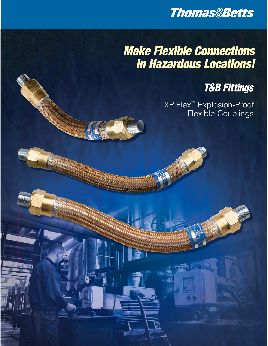

# *Make Flexible Connections in Hazardous Locations!*

**MANA** 

## **T&B® Fittings**

XP Flex™ Explosion-Proof Flexible Couplings